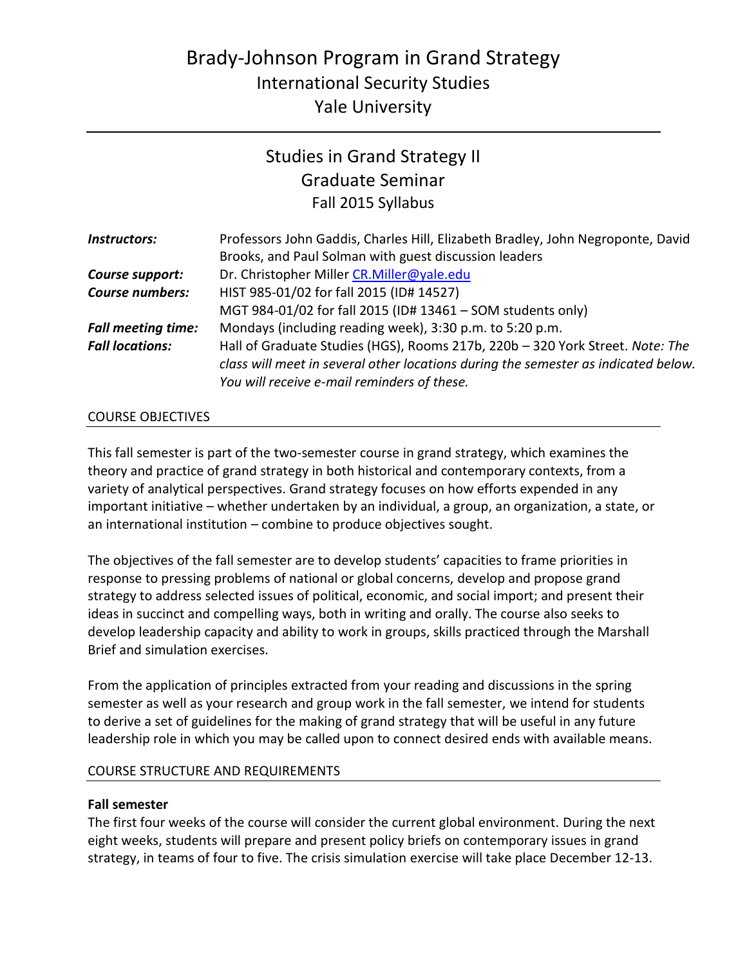# Brady-Johnson Program in Grand Strategy International Security Studies Yale University

# Studies in Grand Strategy II Graduate Seminar Fall 2015 Syllabus

| Instructors:              | Professors John Gaddis, Charles Hill, Elizabeth Bradley, John Negroponte, David    |  |  |
|---------------------------|------------------------------------------------------------------------------------|--|--|
|                           | Brooks, and Paul Solman with guest discussion leaders                              |  |  |
| Course support:           | Dr. Christopher Miller CR.Miller@yale.edu                                          |  |  |
| <b>Course numbers:</b>    | HIST 985-01/02 for fall 2015 (ID# 14527)                                           |  |  |
|                           | MGT 984-01/02 for fall 2015 (ID# 13461 - SOM students only)                        |  |  |
| <b>Fall meeting time:</b> | Mondays (including reading week), 3:30 p.m. to 5:20 p.m.                           |  |  |
| <b>Fall locations:</b>    | Hall of Graduate Studies (HGS), Rooms 217b, 220b - 320 York Street. Note: The      |  |  |
|                           | class will meet in several other locations during the semester as indicated below. |  |  |
|                           | You will receive e-mail reminders of these.                                        |  |  |

## COURSE OBJECTIVES

This fall semester is part of the two-semester course in grand strategy, which examines the theory and practice of grand strategy in both historical and contemporary contexts, from a variety of analytical perspectives. Grand strategy focuses on how efforts expended in any important initiative – whether undertaken by an individual, a group, an organization, a state, or an international institution – combine to produce objectives sought.

The objectives of the fall semester are to develop students' capacities to frame priorities in response to pressing problems of national or global concerns, develop and propose grand strategy to address selected issues of political, economic, and social import; and present their ideas in succinct and compelling ways, both in writing and orally. The course also seeks to develop leadership capacity and ability to work in groups, skills practiced through the Marshall Brief and simulation exercises.

From the application of principles extracted from your reading and discussions in the spring semester as well as your research and group work in the fall semester, we intend for students to derive a set of guidelines for the making of grand strategy that will be useful in any future leadership role in which you may be called upon to connect desired ends with available means.

## COURSE STRUCTURE AND REQUIREMENTS

### **Fall semester**

The first four weeks of the course will consider the current global environment. During the next eight weeks, students will prepare and present policy briefs on contemporary issues in grand strategy, in teams of four to five. The crisis simulation exercise will take place December 12-13.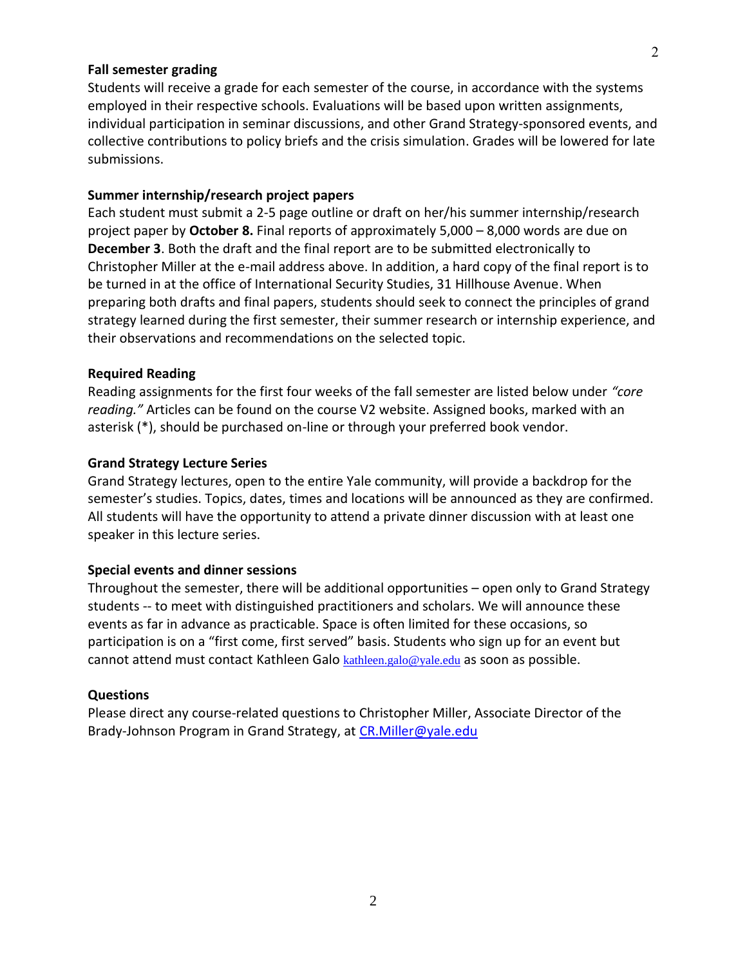#### **Fall semester grading**

Students will receive a grade for each semester of the course, in accordance with the systems employed in their respective schools. Evaluations will be based upon written assignments, individual participation in seminar discussions, and other Grand Strategy-sponsored events, and collective contributions to policy briefs and the crisis simulation. Grades will be lowered for late submissions.

## **Summer internship/research project papers**

Each student must submit a 2-5 page outline or draft on her/his summer internship/research project paper by **October 8.** Final reports of approximately 5,000 – 8,000 words are due on **December 3**. Both the draft and the final report are to be submitted electronically to Christopher Miller at the e-mail address above. In addition, a hard copy of the final report is to be turned in at the office of International Security Studies, 31 Hillhouse Avenue. When preparing both drafts and final papers, students should seek to connect the principles of grand strategy learned during the first semester, their summer research or internship experience, and their observations and recommendations on the selected topic.

#### **Required Reading**

Reading assignments for the first four weeks of the fall semester are listed below under *"core reading."* Articles can be found on the course V2 website. Assigned books, marked with an asterisk (\*), should be purchased on-line or through your preferred book vendor.

#### **Grand Strategy Lecture Series**

Grand Strategy lectures, open to the entire Yale community, will provide a backdrop for the semester's studies. Topics, dates, times and locations will be announced as they are confirmed. All students will have the opportunity to attend a private dinner discussion with at least one speaker in this lecture series.

## **Special events and dinner sessions**

Throughout the semester, there will be additional opportunities – open only to Grand Strategy students -- to meet with distinguished practitioners and scholars. We will announce these events as far in advance as practicable. Space is often limited for these occasions, so participation is on a "first come, first served" basis. Students who sign up for an event but cannot attend must contact Kathleen Galo kathleen.galo@yale.edu as soon as possible.

#### **Questions**

Please direct any course-related questions to Christopher Miller, Associate Director of the Brady-Johnson Program in Grand Strategy, at [CR.Miller@yale.edu](mailto:CR.Miller@yale.edu)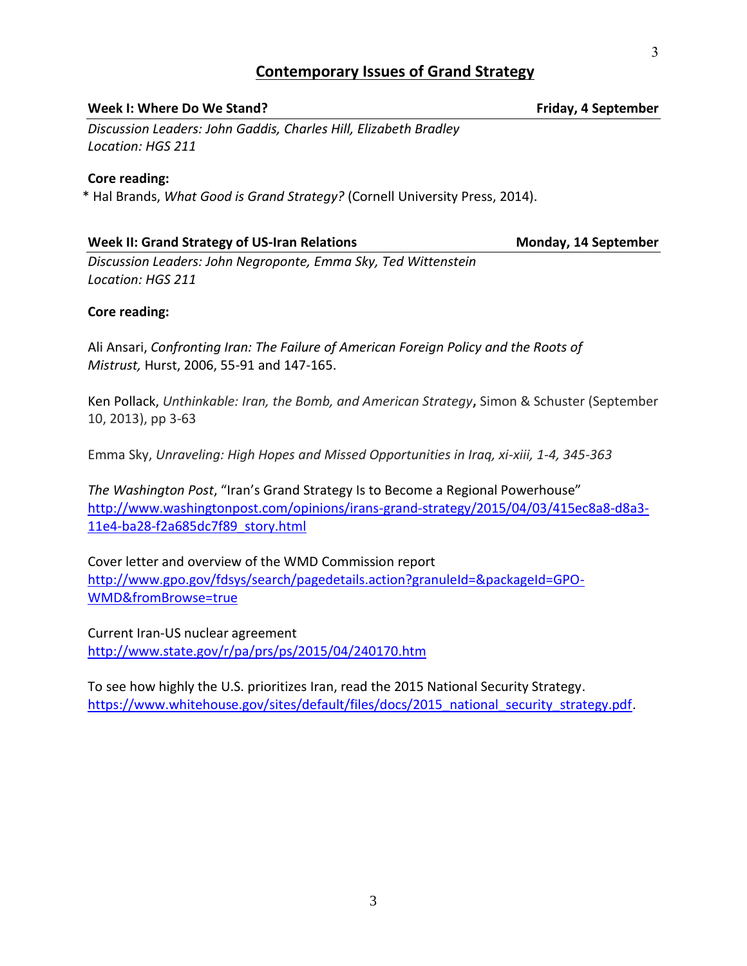## **Contemporary Issues of Grand Strategy**

### **Week I: Where Do We Stand? Friday, 4** September

3

*Discussion Leaders: John Gaddis, Charles Hill, Elizabeth Bradley Location: HGS 211*

## **Core reading:**

\* Hal Brands, *What Good is Grand Strategy?* (Cornell University Press, 2014).

## **Week II: Grand Strategy of US-Iran Relations <b>Monday, 14** September

*Discussion Leaders: John Negroponte, Emma Sky, Ted Wittenstein Location: HGS 211*

## **Core reading:**

Ali Ansari, *Confronting Iran: The Failure of American Foreign Policy and the Roots of Mistrust,* Hurst, 2006, 55-91 and 147-165.

Ken Pollack, *Unthinkable: Iran, the Bomb, and American Strategy***,** Simon & Schuster (September 10, 2013), pp 3-63

Emma Sky, *Unraveling: High Hopes and Missed Opportunities in Iraq, xi-xiii, 1-4, 345-363*

*The Washington Post*, "Iran's Grand Strategy Is to Become a Regional Powerhouse" [http://www.washingtonpost.com/opinions/irans-grand-strategy/2015/04/03/415ec8a8-d8a3-](http://www.washingtonpost.com/opinions/irans-grand-strategy/2015/04/03/415ec8a8-d8a3-11e4-ba28-f2a685dc7f89_story.html) [11e4-ba28-f2a685dc7f89\\_story.html](http://www.washingtonpost.com/opinions/irans-grand-strategy/2015/04/03/415ec8a8-d8a3-11e4-ba28-f2a685dc7f89_story.html)

Cover letter and overview of the WMD Commission report [http://www.gpo.gov/fdsys/search/pagedetails.action?granuleId=&packageId=GPO-](http://www.gpo.gov/fdsys/search/pagedetails.action?granuleId=&packageId=GPO-WMD&fromBrowse=true)[WMD&fromBrowse=true](http://www.gpo.gov/fdsys/search/pagedetails.action?granuleId=&packageId=GPO-WMD&fromBrowse=true)

Current Iran-US nuclear agreement <http://www.state.gov/r/pa/prs/ps/2015/04/240170.htm>

To see how highly the U.S. prioritizes Iran, read the 2015 National Security Strategy. [https://www.whitehouse.gov/sites/default/files/docs/2015\\_national\\_security\\_strategy.pdf.](https://www.whitehouse.gov/sites/default/files/docs/2015_national_security_strategy.pdf)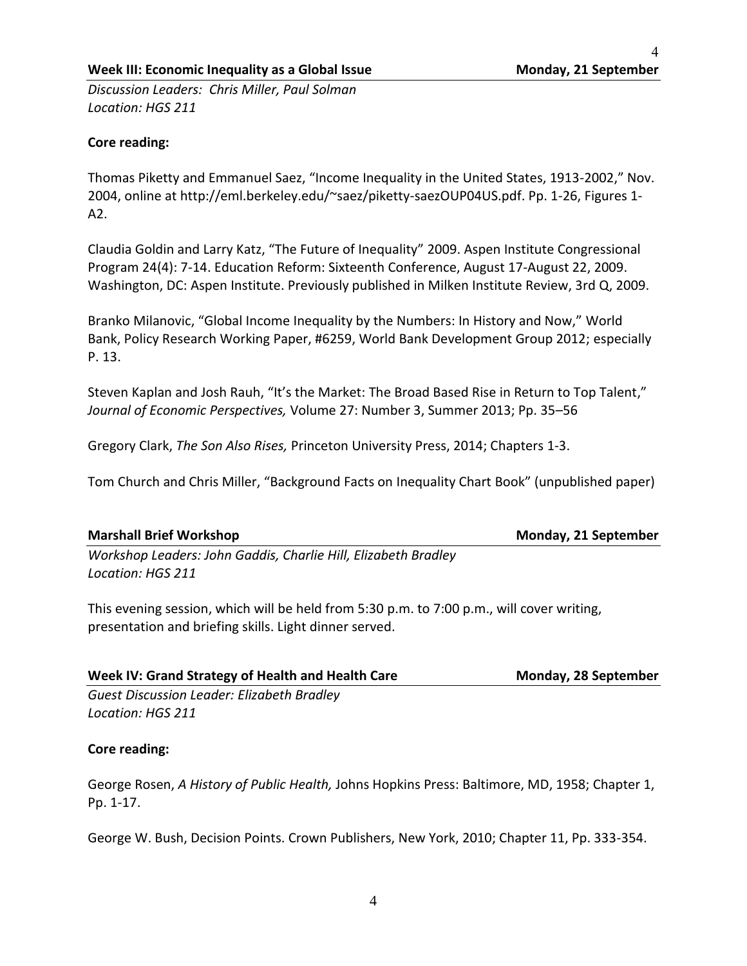### **Week III: Economic Inequality as a Global Issue Monday, 21 September**

*Discussion Leaders: Chris Miller, Paul Solman Location: HGS 211*

## **Core reading:**

Thomas Piketty and Emmanuel Saez, "Income Inequality in the United States, 1913-2002," Nov. 2004, online at http://eml.berkeley.edu/~saez/piketty-saezOUP04US.pdf. Pp. 1-26, Figures 1- A2.

Claudia Goldin and Larry Katz, "The Future of Inequality" 2009. Aspen Institute Congressional Program 24(4): 7-14. Education Reform: Sixteenth Conference, August 17-August 22, 2009. Washington, DC: Aspen Institute. Previously published in Milken Institute Review, 3rd Q, 2009.

Branko Milanovic, "Global Income Inequality by the Numbers: In History and Now," World Bank, Policy Research Working Paper, #6259, World Bank Development Group 2012; especially P. 13.

Steven Kaplan and Josh Rauh, "It's the Market: The Broad Based Rise in Return to Top Talent," *Journal of Economic Perspectives,* Volume 27: Number 3, Summer 2013; Pp. 35–56

Gregory Clark, *The Son Also Rises,* Princeton University Press, 2014; Chapters 1-3.

Tom Church and Chris Miller, "Background Facts on Inequality Chart Book" (unpublished paper)

## **Marshall Brief Workshop Monday, 21 September**

*Workshop Leaders: John Gaddis, Charlie Hill, Elizabeth Bradley Location: HGS 211*

This evening session, which will be held from 5:30 p.m. to 7:00 p.m., will cover writing, presentation and briefing skills. Light dinner served.

| Week IV: Grand Strategy of Health and Health Care | Monday, 28 September |  |
|---------------------------------------------------|----------------------|--|
| <b>Guest Discussion Leader: Elizabeth Bradley</b> |                      |  |
| Location: HGS 211                                 |                      |  |

## **Core reading:**

George Rosen, *A History of Public Health,* Johns Hopkins Press: Baltimore, MD, 1958; Chapter 1, Pp. 1-17.

George W. Bush, Decision Points. Crown Publishers, New York, 2010; Chapter 11, Pp. 333-354.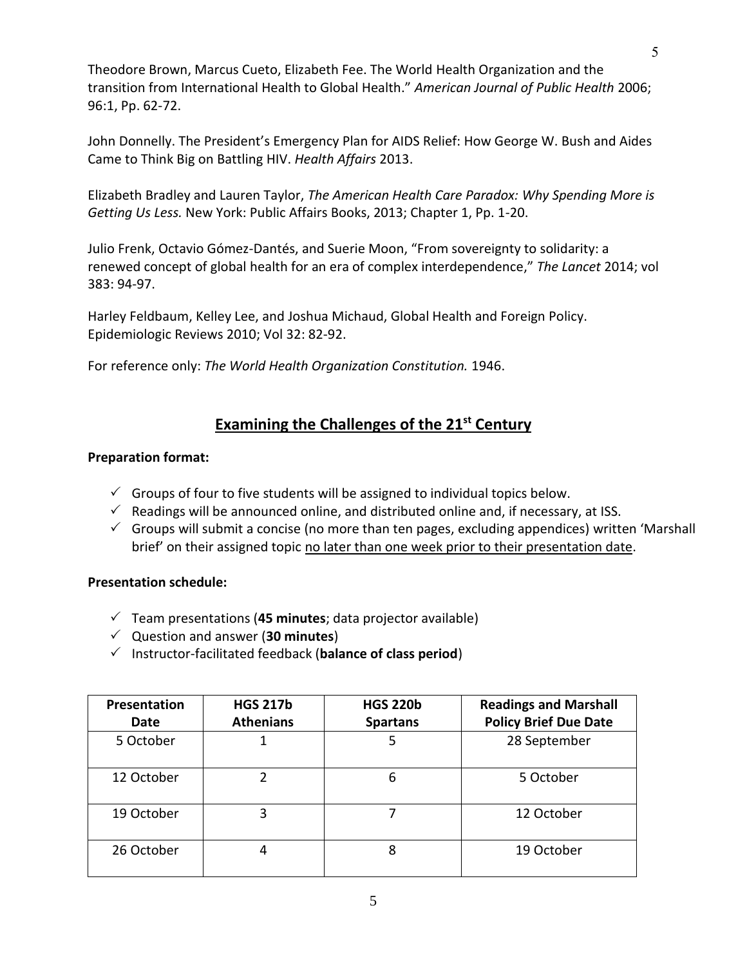Theodore Brown, Marcus Cueto, Elizabeth Fee. The World Health Organization and the transition from International Health to Global Health." *American Journal of Public Health* 2006; 96:1, Pp. 62-72.

John Donnelly. The President's Emergency Plan for AIDS Relief: How George W. Bush and Aides Came to Think Big on Battling HIV. *Health Affairs* 2013.

Elizabeth Bradley and Lauren Taylor, *The American Health Care Paradox: Why Spending More is Getting Us Less.* New York: Public Affairs Books, 2013; Chapter 1, Pp. 1-20.

Julio Frenk, Octavio Gómez-Dantés, and Suerie Moon, "From sovereignty to solidarity: a renewed concept of global health for an era of complex interdependence," *The Lancet* 2014; vol 383: 94-97.

Harley Feldbaum, Kelley Lee, and Joshua Michaud, Global Health and Foreign Policy. Epidemiologic Reviews 2010; Vol 32: 82-92.

For reference only: *The World Health Organization Constitution.* 1946.

## **Examining the Challenges of the 21st Century**

## **Preparation format:**

- $\checkmark$  Groups of four to five students will be assigned to individual topics below.
- $\checkmark$  Readings will be announced online, and distributed online and, if necessary, at ISS.
- $\checkmark$  Groups will submit a concise (no more than ten pages, excluding appendices) written 'Marshall brief' on their assigned topic no later than one week prior to their presentation date.

## **Presentation schedule:**

- $\checkmark$  Team presentations (45 minutes; data projector available)
- Question and answer (**30 minutes**)
- Instructor-facilitated feedback (**balance of class period**)

| <b>Presentation</b><br>Date | <b>HGS 217b</b><br><b>Athenians</b> | <b>HGS 220b</b><br><b>Spartans</b> | <b>Readings and Marshall</b><br><b>Policy Brief Due Date</b> |
|-----------------------------|-------------------------------------|------------------------------------|--------------------------------------------------------------|
| 5 October                   |                                     | 5                                  | 28 September                                                 |
| 12 October                  |                                     | 6                                  | 5 October                                                    |
| 19 October                  | 3                                   |                                    | 12 October                                                   |
| 26 October                  |                                     | 8                                  | 19 October                                                   |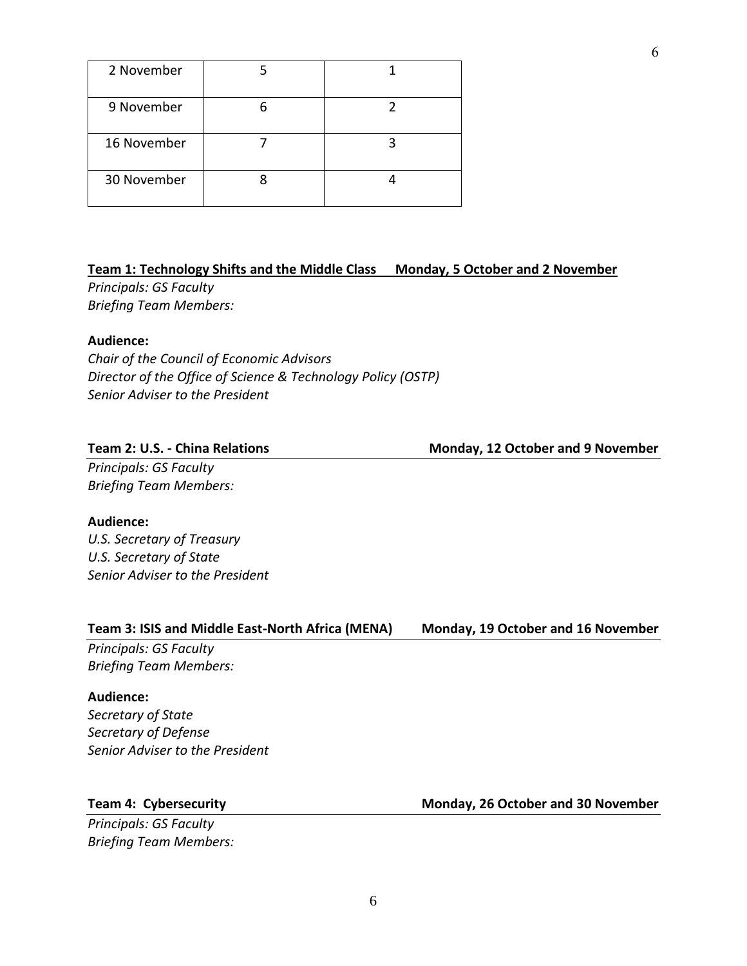| 2 November  |  |
|-------------|--|
| 9 November  |  |
| 16 November |  |
| 30 November |  |

## **Team 1: Technology Shifts and the Middle Class Monday, 5 October and 2 November**

*Principals: GS Faculty Briefing Team Members:* 

## **Audience:**

*Chair of the Council of Economic Advisors Director of the Office of Science & Technology Policy (OSTP) Senior Adviser to the President*

**Team 2: U.S. - China Relations Monday, 12 October and 9 November**

*Principals: GS Faculty Briefing Team Members:*

### **Audience:**

*U.S. Secretary of Treasury U.S. Secretary of State Senior Adviser to the President*

## **Team 3: ISIS and Middle East-North Africa (MENA) Monday, 19 October and 16 November**

*Principals: GS Faculty Briefing Team Members:*

### **Audience:**

*Secretary of State Secretary of Defense Senior Adviser to the President*

*Principals: GS Faculty Briefing Team Members:*

**Team 4: Cybersecurity Monday, 26 October and 30 November**

6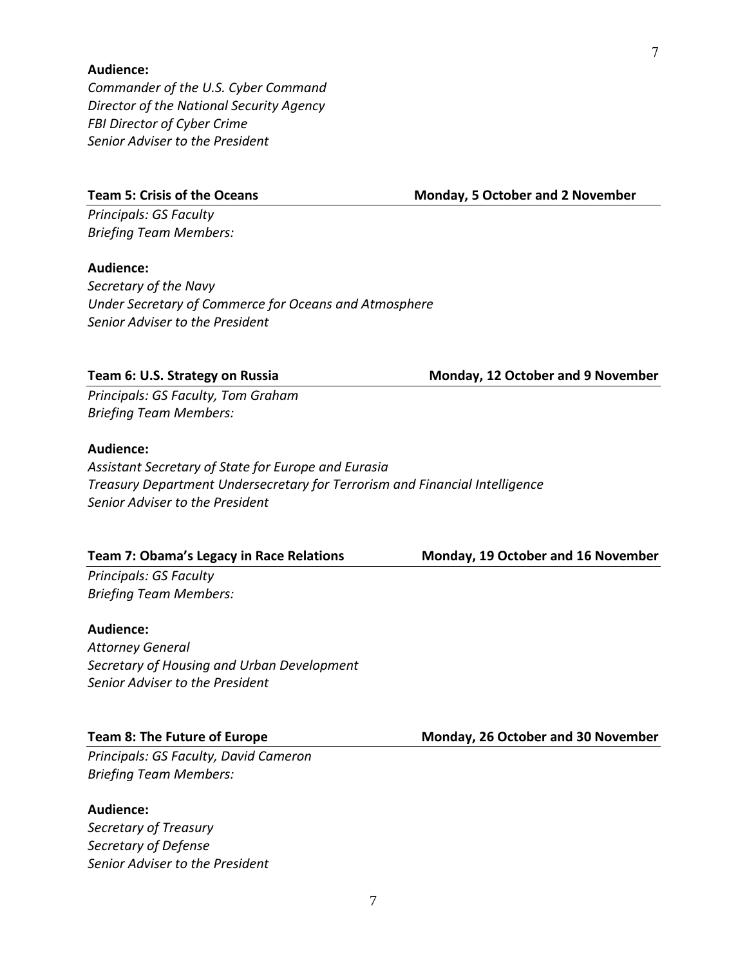#### **Audience:**

*Commander of the U.S. Cyber Command Director of the National Security Agency FBI Director of Cyber Crime Senior Adviser to the President*

**Team 5: Crisis of the Oceans Monday, 5 October and 2 November**

*Principals: GS Faculty Briefing Team Members:*

**Audience:** *Secretary of the Navy Under Secretary of Commerce for Oceans and Atmosphere Senior Adviser to the President*

### **Team 6: U.S. Strategy on Russia Monday, 12 October and 9 November**

*Principals: GS Faculty, Tom Graham Briefing Team Members:*

### **Audience:**

*Assistant Secretary of State for Europe and Eurasia Treasury Department Undersecretary for Terrorism and Financial Intelligence Senior Adviser to the President*

### **Team 7: Obama's Legacy in Race Relations Monday, 19 October and 16 November**

*Principals: GS Faculty Briefing Team Members:*

#### **Audience:**

*Attorney General Secretary of Housing and Urban Development Senior Adviser to the President*

*Principals: GS Faculty, David Cameron Briefing Team Members:*

## **Audience:**

*Secretary of Treasury Secretary of Defense Senior Adviser to the President*

**Team 8: The Future of Europe Monday, 26 October and 30 November** 

7